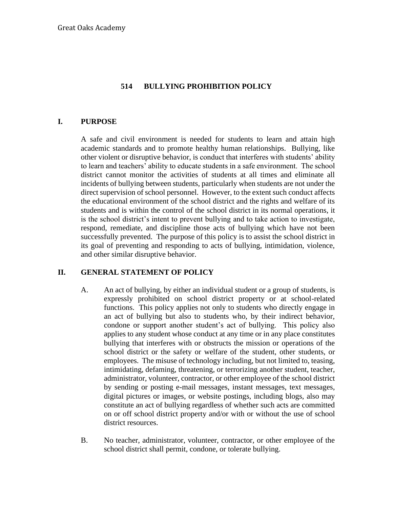#### **514 BULLYING PROHIBITION POLICY**

#### **I. PURPOSE**

A safe and civil environment is needed for students to learn and attain high academic standards and to promote healthy human relationships. Bullying, like other violent or disruptive behavior, is conduct that interferes with students' ability to learn and teachers' ability to educate students in a safe environment. The school district cannot monitor the activities of students at all times and eliminate all incidents of bullying between students, particularly when students are not under the direct supervision of school personnel. However, to the extent such conduct affects the educational environment of the school district and the rights and welfare of its students and is within the control of the school district in its normal operations, it is the school district's intent to prevent bullying and to take action to investigate, respond, remediate, and discipline those acts of bullying which have not been successfully prevented. The purpose of this policy is to assist the school district in its goal of preventing and responding to acts of bullying, intimidation, violence, and other similar disruptive behavior.

#### **II. GENERAL STATEMENT OF POLICY**

- A. An act of bullying, by either an individual student or a group of students, is expressly prohibited on school district property or at school-related functions. This policy applies not only to students who directly engage in an act of bullying but also to students who, by their indirect behavior, condone or support another student's act of bullying. This policy also applies to any student whose conduct at any time or in any place constitutes bullying that interferes with or obstructs the mission or operations of the school district or the safety or welfare of the student, other students, or employees. The misuse of technology including, but not limited to, teasing, intimidating, defaming, threatening, or terrorizing another student, teacher, administrator, volunteer, contractor, or other employee of the school district by sending or posting e-mail messages, instant messages, text messages, digital pictures or images, or website postings, including blogs, also may constitute an act of bullying regardless of whether such acts are committed on or off school district property and/or with or without the use of school district resources.
- B. No teacher, administrator, volunteer, contractor, or other employee of the school district shall permit, condone, or tolerate bullying.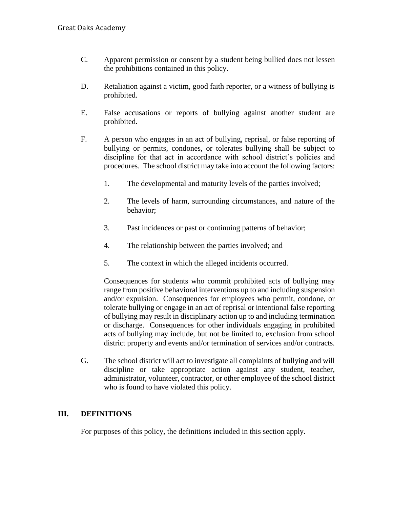- C. Apparent permission or consent by a student being bullied does not lessen the prohibitions contained in this policy.
- D. Retaliation against a victim, good faith reporter, or a witness of bullying is prohibited.
- E. False accusations or reports of bullying against another student are prohibited.
- F. A person who engages in an act of bullying, reprisal, or false reporting of bullying or permits, condones, or tolerates bullying shall be subject to discipline for that act in accordance with school district's policies and procedures. The school district may take into account the following factors:
	- 1. The developmental and maturity levels of the parties involved;
	- 2. The levels of harm, surrounding circumstances, and nature of the behavior;
	- 3. Past incidences or past or continuing patterns of behavior;
	- 4. The relationship between the parties involved; and
	- 5. The context in which the alleged incidents occurred.

Consequences for students who commit prohibited acts of bullying may range from positive behavioral interventions up to and including suspension and/or expulsion. Consequences for employees who permit, condone, or tolerate bullying or engage in an act of reprisal or intentional false reporting of bullying may result in disciplinary action up to and including termination or discharge. Consequences for other individuals engaging in prohibited acts of bullying may include, but not be limited to, exclusion from school district property and events and/or termination of services and/or contracts.

G. The school district will act to investigate all complaints of bullying and will discipline or take appropriate action against any student, teacher, administrator, volunteer, contractor, or other employee of the school district who is found to have violated this policy.

## **III. DEFINITIONS**

For purposes of this policy, the definitions included in this section apply.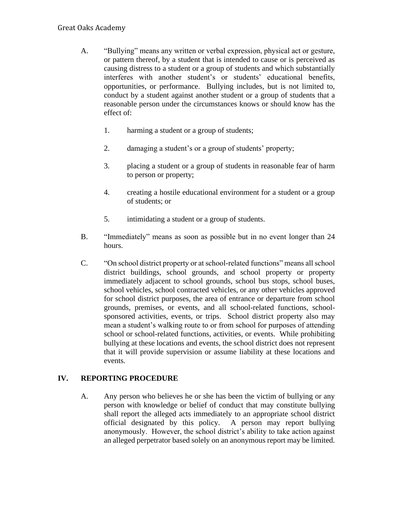#### Great Oaks Academy

- A. "Bullying" means any written or verbal expression, physical act or gesture, or pattern thereof, by a student that is intended to cause or is perceived as causing distress to a student or a group of students and which substantially interferes with another student's or students' educational benefits, opportunities, or performance. Bullying includes, but is not limited to, conduct by a student against another student or a group of students that a reasonable person under the circumstances knows or should know has the effect of:
	- 1. harming a student or a group of students;
	- 2. damaging a student's or a group of students' property;
	- 3. placing a student or a group of students in reasonable fear of harm to person or property;
	- 4. creating a hostile educational environment for a student or a group of students; or
	- 5. intimidating a student or a group of students.
- B. "Immediately" means as soon as possible but in no event longer than 24 hours.
- C. "On school district property or at school-related functions" means all school district buildings, school grounds, and school property or property immediately adjacent to school grounds, school bus stops, school buses, school vehicles, school contracted vehicles, or any other vehicles approved for school district purposes, the area of entrance or departure from school grounds, premises, or events, and all school-related functions, schoolsponsored activities, events, or trips. School district property also may mean a student's walking route to or from school for purposes of attending school or school-related functions, activities, or events. While prohibiting bullying at these locations and events, the school district does not represent that it will provide supervision or assume liability at these locations and events.

## **IV. REPORTING PROCEDURE**

A. Any person who believes he or she has been the victim of bullying or any person with knowledge or belief of conduct that may constitute bullying shall report the alleged acts immediately to an appropriate school district official designated by this policy. A person may report bullying anonymously. However, the school district's ability to take action against an alleged perpetrator based solely on an anonymous report may be limited.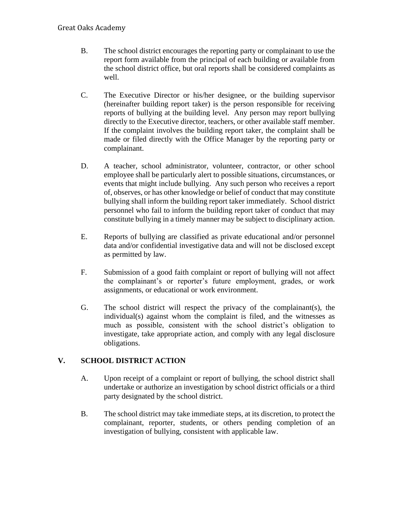- B. The school district encourages the reporting party or complainant to use the report form available from the principal of each building or available from the school district office, but oral reports shall be considered complaints as well.
- C. The Executive Director or his/her designee, or the building supervisor (hereinafter building report taker) is the person responsible for receiving reports of bullying at the building level. Any person may report bullying directly to the Executive director, teachers, or other available staff member. If the complaint involves the building report taker, the complaint shall be made or filed directly with the Office Manager by the reporting party or complainant.
- D. A teacher, school administrator, volunteer, contractor, or other school employee shall be particularly alert to possible situations, circumstances, or events that might include bullying. Any such person who receives a report of, observes, or has other knowledge or belief of conduct that may constitute bullying shall inform the building report taker immediately. School district personnel who fail to inform the building report taker of conduct that may constitute bullying in a timely manner may be subject to disciplinary action.
- E. Reports of bullying are classified as private educational and/or personnel data and/or confidential investigative data and will not be disclosed except as permitted by law.
- F. Submission of a good faith complaint or report of bullying will not affect the complainant's or reporter's future employment, grades, or work assignments, or educational or work environment.
- G. The school district will respect the privacy of the complainant(s), the individual(s) against whom the complaint is filed, and the witnesses as much as possible, consistent with the school district's obligation to investigate, take appropriate action, and comply with any legal disclosure obligations.

## **V. SCHOOL DISTRICT ACTION**

- A. Upon receipt of a complaint or report of bullying, the school district shall undertake or authorize an investigation by school district officials or a third party designated by the school district.
- B. The school district may take immediate steps, at its discretion, to protect the complainant, reporter, students, or others pending completion of an investigation of bullying, consistent with applicable law.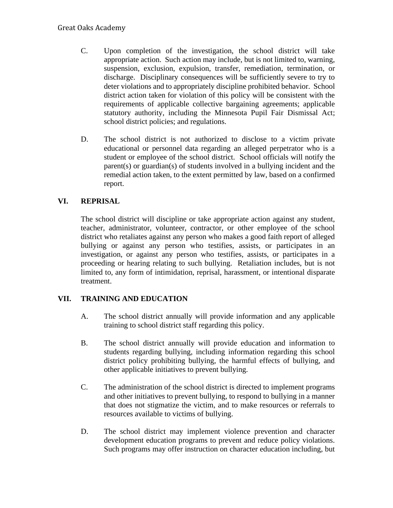- C. Upon completion of the investigation, the school district will take appropriate action. Such action may include, but is not limited to, warning, suspension, exclusion, expulsion, transfer, remediation, termination, or discharge. Disciplinary consequences will be sufficiently severe to try to deter violations and to appropriately discipline prohibited behavior. School district action taken for violation of this policy will be consistent with the requirements of applicable collective bargaining agreements; applicable statutory authority, including the Minnesota Pupil Fair Dismissal Act; school district policies; and regulations.
- D. The school district is not authorized to disclose to a victim private educational or personnel data regarding an alleged perpetrator who is a student or employee of the school district. School officials will notify the parent(s) or guardian(s) of students involved in a bullying incident and the remedial action taken, to the extent permitted by law, based on a confirmed report.

# **VI. REPRISAL**

The school district will discipline or take appropriate action against any student, teacher, administrator, volunteer, contractor, or other employee of the school district who retaliates against any person who makes a good faith report of alleged bullying or against any person who testifies, assists, or participates in an investigation, or against any person who testifies, assists, or participates in a proceeding or hearing relating to such bullying. Retaliation includes, but is not limited to, any form of intimidation, reprisal, harassment, or intentional disparate treatment.

## **VII. TRAINING AND EDUCATION**

- A. The school district annually will provide information and any applicable training to school district staff regarding this policy.
- B. The school district annually will provide education and information to students regarding bullying, including information regarding this school district policy prohibiting bullying, the harmful effects of bullying, and other applicable initiatives to prevent bullying.
- C. The administration of the school district is directed to implement programs and other initiatives to prevent bullying, to respond to bullying in a manner that does not stigmatize the victim, and to make resources or referrals to resources available to victims of bullying.
- D. The school district may implement violence prevention and character development education programs to prevent and reduce policy violations. Such programs may offer instruction on character education including, but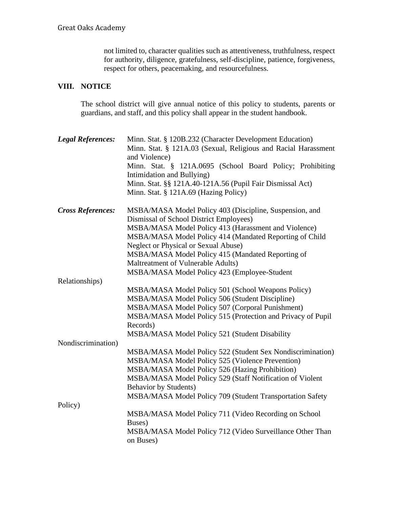not limited to, character qualities such as attentiveness, truthfulness, respect for authority, diligence, gratefulness, self-discipline, patience, forgiveness, respect for others, peacemaking, and resourcefulness.

# **VIII. NOTICE**

The school district will give annual notice of this policy to students, parents or guardians, and staff, and this policy shall appear in the student handbook.

| Minn. Stat. § 121A.0695 (School Board Policy; Prohibiting<br>Intimidation and Bullying)<br>Minn. Stat. §§ 121A.40-121A.56 (Pupil Fair Dismissal Act)<br>Minn. Stat. § 121A.69 (Hazing Policy)<br><b>Cross References:</b><br>MSBA/MASA Model Policy 403 (Discipline, Suspension, and<br>Dismissal of School District Employees)<br>MSBA/MASA Model Policy 413 (Harassment and Violence)<br>MSBA/MASA Model Policy 414 (Mandated Reporting of Child<br>Neglect or Physical or Sexual Abuse)<br>MSBA/MASA Model Policy 415 (Mandated Reporting of<br>Maltreatment of Vulnerable Adults)<br>MSBA/MASA Model Policy 423 (Employee-Student<br>MSBA/MASA Model Policy 501 (School Weapons Policy)<br>MSBA/MASA Model Policy 506 (Student Discipline)<br>MSBA/MASA Model Policy 507 (Corporal Punishment)<br>MSBA/MASA Model Policy 515 (Protection and Privacy of Pupil<br>Records)<br>MSBA/MASA Model Policy 521 (Student Disability<br>MSBA/MASA Model Policy 522 (Student Sex Nondiscrimination)<br>MSBA/MASA Model Policy 525 (Violence Prevention)<br>MSBA/MASA Model Policy 526 (Hazing Prohibition)<br>MSBA/MASA Model Policy 529 (Staff Notification of Violent<br><b>Behavior by Students)</b><br>MSBA/MASA Model Policy 709 (Student Transportation Safety<br>Policy)<br>MSBA/MASA Model Policy 711 (Video Recording on School<br>Buses)<br>MSBA/MASA Model Policy 712 (Video Surveillance Other Than | <b>Legal References:</b> | Minn. Stat. § 120B.232 (Character Development Education)<br>Minn. Stat. § 121A.03 (Sexual, Religious and Racial Harassment<br>and Violence) |
|-----------------------------------------------------------------------------------------------------------------------------------------------------------------------------------------------------------------------------------------------------------------------------------------------------------------------------------------------------------------------------------------------------------------------------------------------------------------------------------------------------------------------------------------------------------------------------------------------------------------------------------------------------------------------------------------------------------------------------------------------------------------------------------------------------------------------------------------------------------------------------------------------------------------------------------------------------------------------------------------------------------------------------------------------------------------------------------------------------------------------------------------------------------------------------------------------------------------------------------------------------------------------------------------------------------------------------------------------------------------------------------------------------------|--------------------------|---------------------------------------------------------------------------------------------------------------------------------------------|
|                                                                                                                                                                                                                                                                                                                                                                                                                                                                                                                                                                                                                                                                                                                                                                                                                                                                                                                                                                                                                                                                                                                                                                                                                                                                                                                                                                                                           |                          |                                                                                                                                             |
|                                                                                                                                                                                                                                                                                                                                                                                                                                                                                                                                                                                                                                                                                                                                                                                                                                                                                                                                                                                                                                                                                                                                                                                                                                                                                                                                                                                                           |                          |                                                                                                                                             |
|                                                                                                                                                                                                                                                                                                                                                                                                                                                                                                                                                                                                                                                                                                                                                                                                                                                                                                                                                                                                                                                                                                                                                                                                                                                                                                                                                                                                           |                          |                                                                                                                                             |
|                                                                                                                                                                                                                                                                                                                                                                                                                                                                                                                                                                                                                                                                                                                                                                                                                                                                                                                                                                                                                                                                                                                                                                                                                                                                                                                                                                                                           |                          |                                                                                                                                             |
|                                                                                                                                                                                                                                                                                                                                                                                                                                                                                                                                                                                                                                                                                                                                                                                                                                                                                                                                                                                                                                                                                                                                                                                                                                                                                                                                                                                                           |                          |                                                                                                                                             |
|                                                                                                                                                                                                                                                                                                                                                                                                                                                                                                                                                                                                                                                                                                                                                                                                                                                                                                                                                                                                                                                                                                                                                                                                                                                                                                                                                                                                           |                          |                                                                                                                                             |
|                                                                                                                                                                                                                                                                                                                                                                                                                                                                                                                                                                                                                                                                                                                                                                                                                                                                                                                                                                                                                                                                                                                                                                                                                                                                                                                                                                                                           |                          |                                                                                                                                             |
|                                                                                                                                                                                                                                                                                                                                                                                                                                                                                                                                                                                                                                                                                                                                                                                                                                                                                                                                                                                                                                                                                                                                                                                                                                                                                                                                                                                                           |                          |                                                                                                                                             |
|                                                                                                                                                                                                                                                                                                                                                                                                                                                                                                                                                                                                                                                                                                                                                                                                                                                                                                                                                                                                                                                                                                                                                                                                                                                                                                                                                                                                           |                          |                                                                                                                                             |
|                                                                                                                                                                                                                                                                                                                                                                                                                                                                                                                                                                                                                                                                                                                                                                                                                                                                                                                                                                                                                                                                                                                                                                                                                                                                                                                                                                                                           |                          |                                                                                                                                             |
|                                                                                                                                                                                                                                                                                                                                                                                                                                                                                                                                                                                                                                                                                                                                                                                                                                                                                                                                                                                                                                                                                                                                                                                                                                                                                                                                                                                                           |                          |                                                                                                                                             |
|                                                                                                                                                                                                                                                                                                                                                                                                                                                                                                                                                                                                                                                                                                                                                                                                                                                                                                                                                                                                                                                                                                                                                                                                                                                                                                                                                                                                           | Relationships)           |                                                                                                                                             |
|                                                                                                                                                                                                                                                                                                                                                                                                                                                                                                                                                                                                                                                                                                                                                                                                                                                                                                                                                                                                                                                                                                                                                                                                                                                                                                                                                                                                           |                          |                                                                                                                                             |
|                                                                                                                                                                                                                                                                                                                                                                                                                                                                                                                                                                                                                                                                                                                                                                                                                                                                                                                                                                                                                                                                                                                                                                                                                                                                                                                                                                                                           |                          |                                                                                                                                             |
|                                                                                                                                                                                                                                                                                                                                                                                                                                                                                                                                                                                                                                                                                                                                                                                                                                                                                                                                                                                                                                                                                                                                                                                                                                                                                                                                                                                                           |                          |                                                                                                                                             |
|                                                                                                                                                                                                                                                                                                                                                                                                                                                                                                                                                                                                                                                                                                                                                                                                                                                                                                                                                                                                                                                                                                                                                                                                                                                                                                                                                                                                           |                          |                                                                                                                                             |
|                                                                                                                                                                                                                                                                                                                                                                                                                                                                                                                                                                                                                                                                                                                                                                                                                                                                                                                                                                                                                                                                                                                                                                                                                                                                                                                                                                                                           |                          |                                                                                                                                             |
|                                                                                                                                                                                                                                                                                                                                                                                                                                                                                                                                                                                                                                                                                                                                                                                                                                                                                                                                                                                                                                                                                                                                                                                                                                                                                                                                                                                                           |                          |                                                                                                                                             |
|                                                                                                                                                                                                                                                                                                                                                                                                                                                                                                                                                                                                                                                                                                                                                                                                                                                                                                                                                                                                                                                                                                                                                                                                                                                                                                                                                                                                           | Nondiscrimination)       |                                                                                                                                             |
|                                                                                                                                                                                                                                                                                                                                                                                                                                                                                                                                                                                                                                                                                                                                                                                                                                                                                                                                                                                                                                                                                                                                                                                                                                                                                                                                                                                                           |                          |                                                                                                                                             |
|                                                                                                                                                                                                                                                                                                                                                                                                                                                                                                                                                                                                                                                                                                                                                                                                                                                                                                                                                                                                                                                                                                                                                                                                                                                                                                                                                                                                           |                          |                                                                                                                                             |
|                                                                                                                                                                                                                                                                                                                                                                                                                                                                                                                                                                                                                                                                                                                                                                                                                                                                                                                                                                                                                                                                                                                                                                                                                                                                                                                                                                                                           |                          |                                                                                                                                             |
|                                                                                                                                                                                                                                                                                                                                                                                                                                                                                                                                                                                                                                                                                                                                                                                                                                                                                                                                                                                                                                                                                                                                                                                                                                                                                                                                                                                                           |                          |                                                                                                                                             |
|                                                                                                                                                                                                                                                                                                                                                                                                                                                                                                                                                                                                                                                                                                                                                                                                                                                                                                                                                                                                                                                                                                                                                                                                                                                                                                                                                                                                           |                          |                                                                                                                                             |
|                                                                                                                                                                                                                                                                                                                                                                                                                                                                                                                                                                                                                                                                                                                                                                                                                                                                                                                                                                                                                                                                                                                                                                                                                                                                                                                                                                                                           |                          |                                                                                                                                             |
|                                                                                                                                                                                                                                                                                                                                                                                                                                                                                                                                                                                                                                                                                                                                                                                                                                                                                                                                                                                                                                                                                                                                                                                                                                                                                                                                                                                                           |                          |                                                                                                                                             |
|                                                                                                                                                                                                                                                                                                                                                                                                                                                                                                                                                                                                                                                                                                                                                                                                                                                                                                                                                                                                                                                                                                                                                                                                                                                                                                                                                                                                           |                          |                                                                                                                                             |
|                                                                                                                                                                                                                                                                                                                                                                                                                                                                                                                                                                                                                                                                                                                                                                                                                                                                                                                                                                                                                                                                                                                                                                                                                                                                                                                                                                                                           |                          |                                                                                                                                             |
| on Buses)                                                                                                                                                                                                                                                                                                                                                                                                                                                                                                                                                                                                                                                                                                                                                                                                                                                                                                                                                                                                                                                                                                                                                                                                                                                                                                                                                                                                 |                          |                                                                                                                                             |